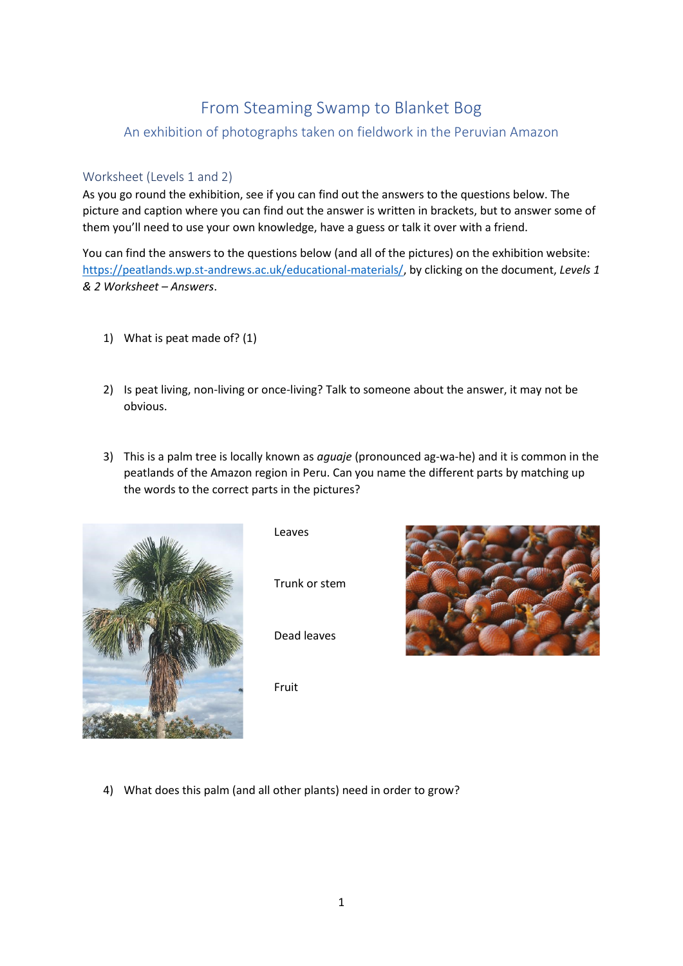## From Steaming Swamp to Blanket Bog

## An exhibition of photographs taken on fieldwork in the Peruvian Amazon

## Worksheet (Levels 1 and 2)

As you go round the exhibition, see if you can find out the answers to the questions below. The picture and caption where you can find out the answer is written in brackets, but to answer some of them you'll need to use your own knowledge, have a guess or talk it over with a friend.

You can find the answers to the questions below (and all of the pictures) on the exhibition website: [https://peatlands.wp.st-andrews.ac.uk/educational-materials/,](https://peatlands.wp.st-andrews.ac.uk/educational-materials/) by clicking on the document, *Levels 1 & 2 Worksheet – Answers*.

- 1) What is peat made of? (1)
- 2) Is peat living, non-living or once-living? Talk to someone about the answer, it may not be obvious.
- 3) This is a palm tree is locally known as *aguaje* (pronounced ag-wa-he) and it is common in the peatlands of the Amazon region in Peru. Can you name the different parts by matching up the words to the correct parts in the pictures?



Leaves

Trunk or stem

Dead leaves

Fruit



4) What does this palm (and all other plants) need in order to grow?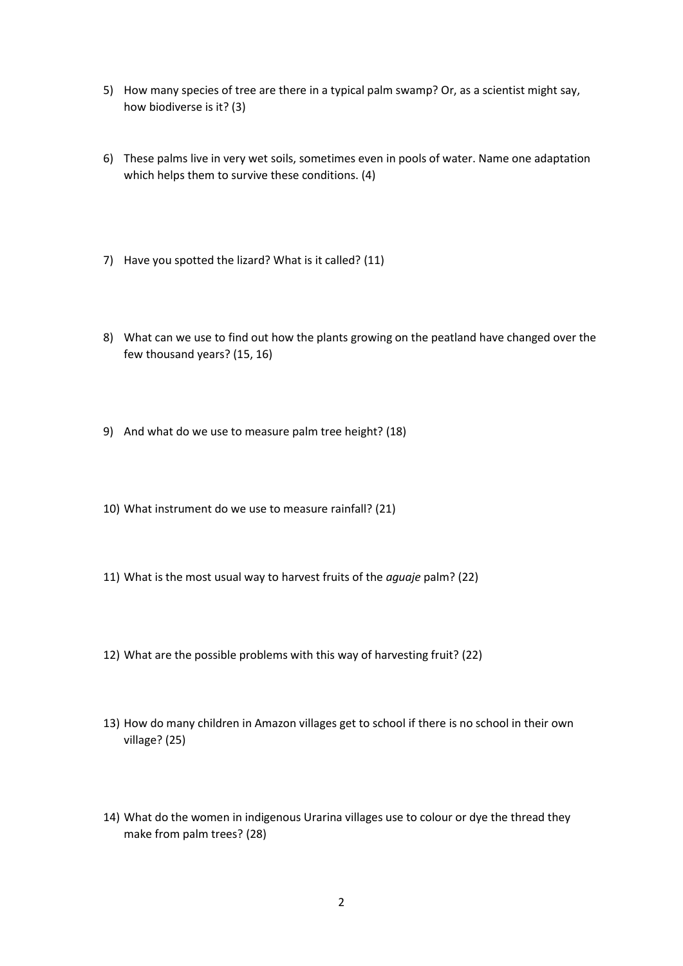- 5) How many species of tree are there in a typical palm swamp? Or, as a scientist might say, how biodiverse is it? (3)
- 6) These palms live in very wet soils, sometimes even in pools of water. Name one adaptation which helps them to survive these conditions. (4)
- 7) Have you spotted the lizard? What is it called? (11)
- 8) What can we use to find out how the plants growing on the peatland have changed over the few thousand years? (15, 16)
- 9) And what do we use to measure palm tree height? (18)
- 10) What instrument do we use to measure rainfall? (21)
- 11) What is the most usual way to harvest fruits of the *aguaje* palm? (22)
- 12) What are the possible problems with this way of harvesting fruit? (22)
- 13) How do many children in Amazon villages get to school if there is no school in their own village? (25)
- 14) What do the women in indigenous Urarina villages use to colour or dye the thread they make from palm trees? (28)